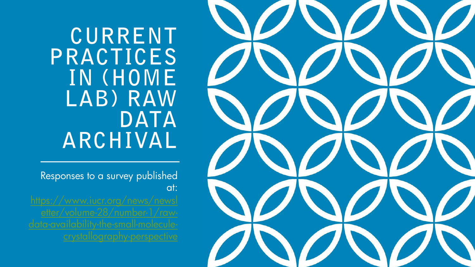CURRENT PRACTICES IN (HOME LAB) RAW **DATA** ARCHIVAL

Responses to a survey published at:

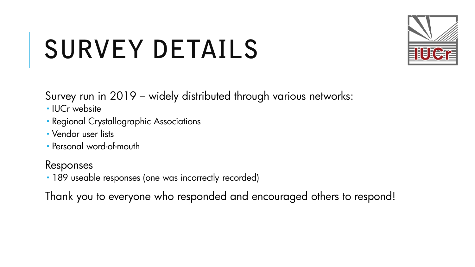# SURVEY DETAILS



Survey run in 2019 – widely distributed through various networks:

- · IUCr website
- Regional Crystallographic Associations
- Vendor user lists
- Personal word-of-mouth

### Responses

189 useable responses (one was incorrectly recorded)

Thank you to everyone who responded and encouraged others to respond!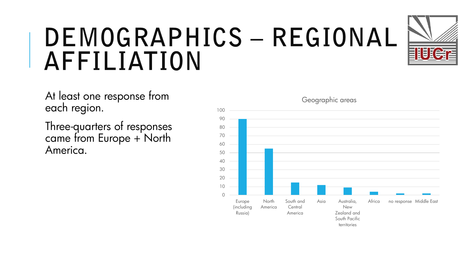### DEMOGRAPHICS - REGIONAL **AFFILIATION**



At least one response from each region.

Three-quarters of responses came from Europe + North America.



Geographic areas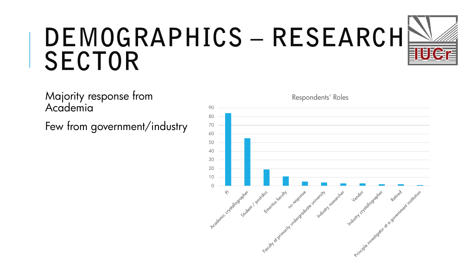

### DEMOGRAPHICS - RESEARCH **SECTOR**

Respondents' Roles90 80 70 60 50 40 30 20 10  $\Omega$ Focum di gimoi Nu Principle in vestigator of

Majority response from Academia

Few from government/industry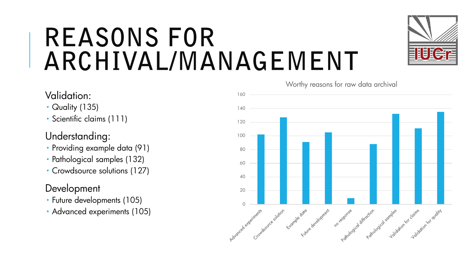### **REASONS FOR** ARCHIVAL/MANAGEMENT



- Quality (135)
- Scientific claims (111)

#### Understanding:

- Providing example data (91)
- Pathological samples (132)
- Crowdsource solutions (127)

#### Development

- Future developments (105)
- Advanced experiments (105)





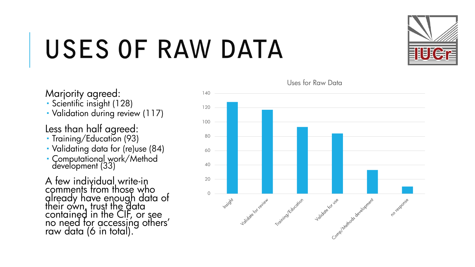# USES OF RAW DATA

Marjority agreed:

- Scientific insight (128)
- Validation during review (117)

Less than half agreed:

- Training/Education (93)
- Validating data for (re)use (84)
- Computationa<u>l</u> work/Method development (33)

A few individual write-in comments from those who already have enough data of their own, trust th<u>e d</u>ata contained in the CIF, or see<br>no need for accessing others' raw data (6 in total).



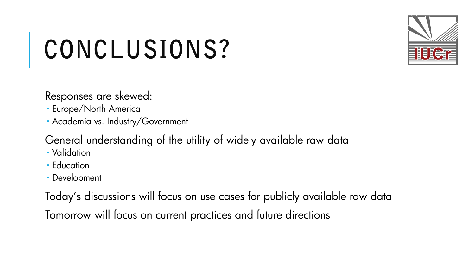# CONCLUSIONS?

Responses are skewed:

- Europe/North America
- Academia vs. Industry/Government

General understanding of the utility of widely available raw data

- Validation
- **Education**
- Development

Today's discussions will focus on use cases for publicly available raw data Tomorrow will focus on current practices and future directions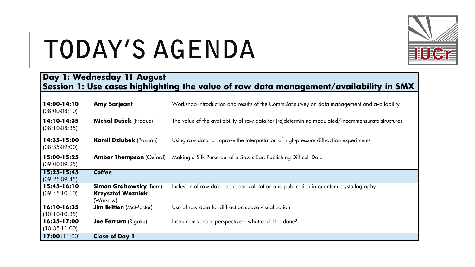

### TODAY'S AGENDA

| Day 1: Wednesday 11 August<br>Session 1: Use cases highlighting the value of raw data management/availability in SMX |                                                                       |                                                                                                   |  |
|----------------------------------------------------------------------------------------------------------------------|-----------------------------------------------------------------------|---------------------------------------------------------------------------------------------------|--|
|                                                                                                                      |                                                                       |                                                                                                   |  |
| 14:00-14:10<br>$(08:00-08:10)$                                                                                       | <b>Amy Sarjeant</b>                                                   | Workshop introduction and results of the CommDat survey on data management and availability       |  |
| 14:10-14:35<br>$(08:10-08:35)$                                                                                       | <b>Michal Dušek</b> (Prague)                                          | The value of the availability of raw data for (re)determining modulated/incommensurate structures |  |
| 14:35-15:00<br>$(08:35-09:00)$                                                                                       | <b>Kamil Dziubek (Poznan)</b>                                         | Using raw data to improve the interpretation of high-pressure diffraction experiments             |  |
| 15:00-15:25<br>$(09:00-09:25)$                                                                                       | <b>Amber Thompson (Oxford)</b>                                        | Making a Silk Purse out of a Sow's Ear: Publishing Difficult Data                                 |  |
| 15:25-15:45<br>(09:25.09:45)                                                                                         | <b>Coffee</b>                                                         |                                                                                                   |  |
| 15:45-16:10<br>$(09:45-10:10)$                                                                                       | <b>Simon Grabowsky (Bern)</b><br><b>Krzysztof Wozniak</b><br>(Warsaw) | Inclusion of raw data to support validation and publication in quantum crystallography            |  |
| $16:10 - 16:35$<br>(10:10.10:35)                                                                                     | <b>Jim Britten</b> (McMaster)                                         | Use of raw data for diffraction space visualization                                               |  |
| 16:35-17:00<br>$(10:35-11:00)$                                                                                       | Joe Ferrara (Rigaku)                                                  | Instrument vendor perspective – what could be done?                                               |  |
| 17:00 $(11:00)$                                                                                                      | <b>Close of Day 1</b>                                                 |                                                                                                   |  |